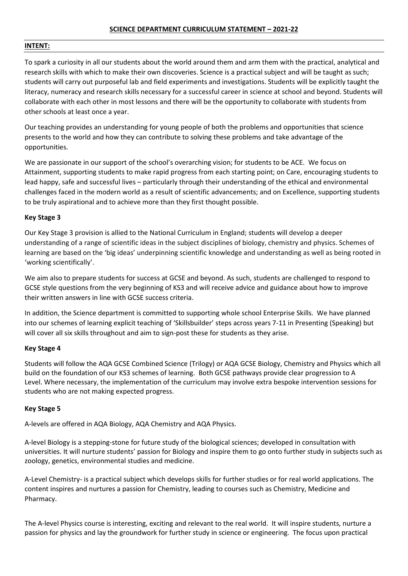# **INTENT:**

To spark a curiosity in all our students about the world around them and arm them with the practical, analytical and research skills with which to make their own discoveries. Science is a practical subject and will be taught as such; students will carry out purposeful lab and field experiments and investigations. Students will be explicitly taught the literacy, numeracy and research skills necessary for a successful career in science at school and beyond. Students will collaborate with each other in most lessons and there will be the opportunity to collaborate with students from other schools at least once a year.

Our teaching provides an understanding for young people of both the problems and opportunities that science presents to the world and how they can contribute to solving these problems and take advantage of the opportunities.

We are passionate in our support of the school's overarching vision; for students to be ACE. We focus on Attainment, supporting students to make rapid progress from each starting point; on Care, encouraging students to lead happy, safe and successful lives – particularly through their understanding of the ethical and environmental challenges faced in the modern world as a result of scientific advancements; and on Excellence, supporting students to be truly aspirational and to achieve more than they first thought possible.

# **Key Stage 3**

Our Key Stage 3 provision is allied to the National Curriculum in England; students will develop a deeper understanding of a range of scientific ideas in the subject disciplines of biology, chemistry and physics. Schemes of learning are based on the 'big ideas' underpinning scientific knowledge and understanding as well as being rooted in 'working scientifically'.

We aim also to prepare students for success at GCSE and beyond. As such, students are challenged to respond to GCSE style questions from the very beginning of KS3 and will receive advice and guidance about how to improve their written answers in line with GCSE success criteria.

In addition, the Science department is committed to supporting whole school Enterprise Skills. We have planned into our schemes of learning explicit teaching of 'Skillsbuilder' steps across years 7-11 in Presenting (Speaking) but will cover all six skills throughout and aim to sign-post these for students as they arise.

# **Key Stage 4**

Students will follow the AQA GCSE Combined Science (Trilogy) or AQA GCSE Biology, Chemistry and Physics which all build on the foundation of our KS3 schemes of learning. Both GCSE pathways provide clear progression to A Level. Where necessary, the implementation of the curriculum may involve extra bespoke intervention sessions for students who are not making expected progress.

# **Key Stage 5**

A-levels are offered in AQA Biology, AQA Chemistry and AQA Physics.

A-level Biology is a stepping-stone for future study of the biological sciences; developed in consultation with universities. It will nurture students' passion for Biology and inspire them to go onto further study in subjects such as zoology, genetics, environmental studies and medicine.

A-Level Chemistry- is a practical subject which develops skills for further studies or for real world applications. The content inspires and nurtures a passion for Chemistry, leading to courses such as Chemistry, Medicine and Pharmacy.

The A-level Physics course is interesting, exciting and relevant to the real world. It will inspire students, nurture a passion for physics and lay the groundwork for further study in science or engineering. The focus upon practical